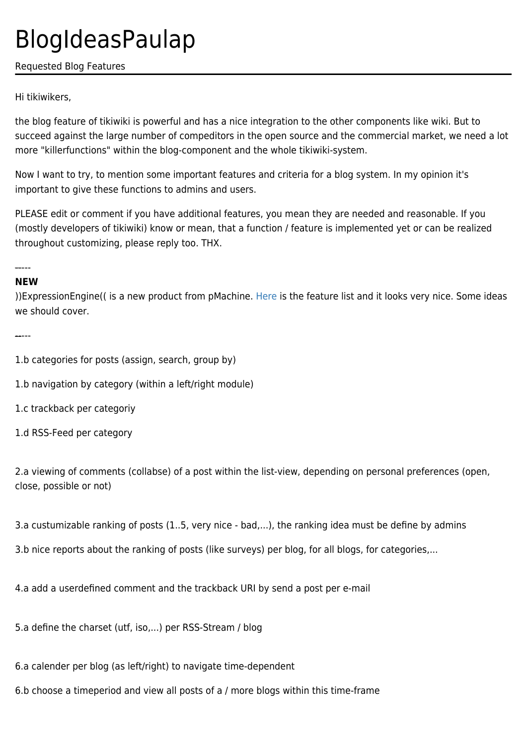## BlogIdeasPaulap

Requested Blog Features

Hi tikiwikers,

the blog feature of tikiwiki is powerful and has a nice integration to the other components like wiki. But to succeed against the large number of compeditors in the open source and the commercial market, we need a lot more "killerfunctions" within the blog-component and the whole tikiwiki-system.

Now I want to try, to mention some important features and criteria for a blog system. In my opinion it's important to give these functions to admins and users.

PLEASE edit or comment if you have additional features, you mean they are needed and reasonable. If you (mostly developers of tikiwiki) know or mean, that a function / feature is implemented yet or can be realized throughout customizing, please reply too. THX.

-----

## **NEW**

))ExpressionEngine(( is a new product from pMachine. [Here](http://www.pmachine.com/expressionengine/features.php) is the feature list and it looks very nice. Some ideas we should cover.

-----

1.b categories for posts (assign, search, group by)

1.b navigation by category (within a left/right module)

1.c trackback per categoriy

1.d RSS-Feed per category

2.a viewing of comments (collabse) of a post within the list-view, depending on personal preferences (open, close, possible or not)

3.a custumizable ranking of posts (1..5, very nice - bad,...), the ranking idea must be define by admins

3.b nice reports about the ranking of posts (like surveys) per blog, for all blogs, for categories,...

4.a add a userdefined comment and the trackback URI by send a post per e-mail

5.a define the charset (utf, iso,...) per RSS-Stream / blog

6.a calender per blog (as left/right) to navigate time-dependent

6.b choose a timeperiod and view all posts of a / more blogs within this time-frame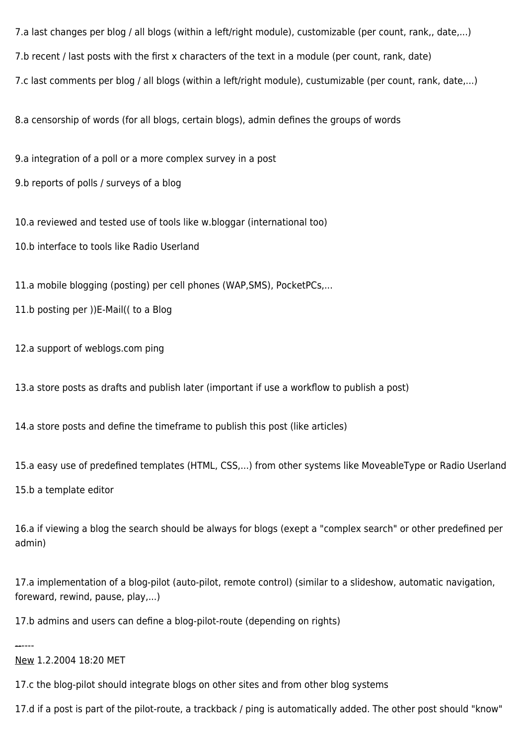7.a last changes per blog / all blogs (within a left/right module), customizable (per count, rank,, date,...)

7.b recent / last posts with the first x characters of the text in a module (per count, rank, date)

7.c last comments per blog / all blogs (within a left/right module), custumizable (per count, rank, date,...)

8.a censorship of words (for all blogs, certain blogs), admin defines the groups of words

9.a integration of a poll or a more complex survey in a post

9.b reports of polls / surveys of a blog

10.a reviewed and tested use of tools like w.bloggar (international too)

10.b interface to tools like Radio Userland

11.a mobile blogging (posting) per cell phones (WAP,SMS), PocketPCs,...

11.b posting per ))E-Mail(( to a Blog

12.a support of weblogs.com ping

13.a store posts as drafts and publish later (important if use a workflow to publish a post)

14.a store posts and define the timeframe to publish this post (like articles)

15.a easy use of predefined templates (HTML, CSS,...) from other systems like MoveableType or Radio Userland

15.b a template editor

16.a if viewing a blog the search should be always for blogs (exept a "complex search" or other predefined per admin)

17.a implementation of a blog-pilot (auto-pilot, remote control) (similar to a slideshow, automatic navigation, foreward, rewind, pause, play,...)

17.b admins and users can define a blog-pilot-route (depending on rights)

------

## New 1.2.2004 18:20 MET

17.c the blog-pilot should integrate blogs on other sites and from other blog systems

17.d if a post is part of the pilot-route, a trackback / ping is automatically added. The other post should "know"